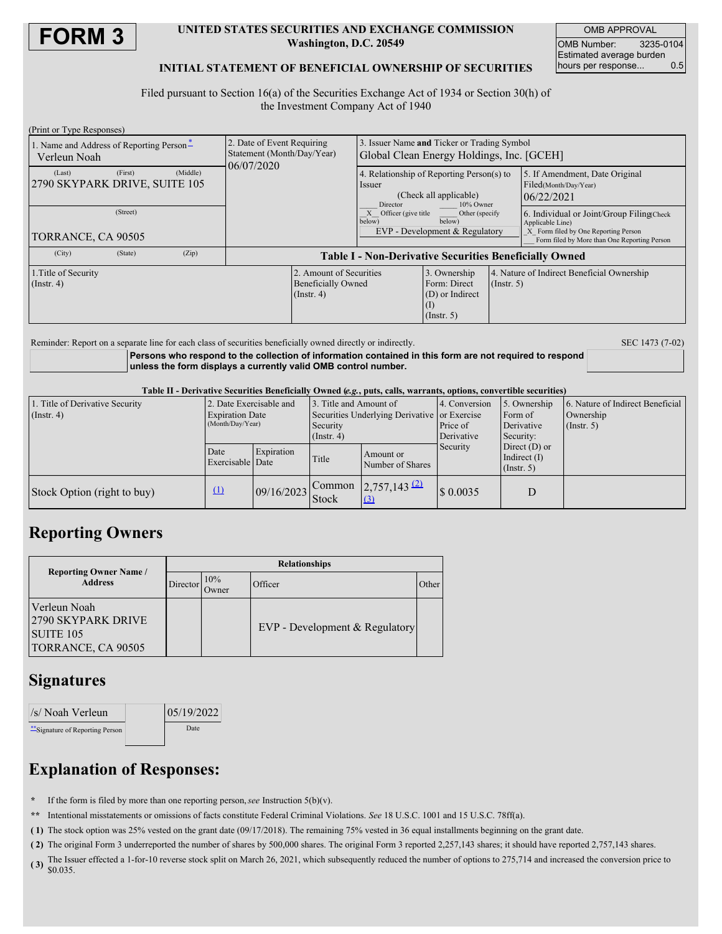

#### **UNITED STATES SECURITIES AND EXCHANGE COMMISSION Washington, D.C. 20549**

OMB APPROVAL OMB Number: 3235-0104 Estimated average burden<br>hours per response... 0.5 hours per response...

#### **INITIAL STATEMENT OF BENEFICIAL OWNERSHIP OF SECURITIES**

Filed pursuant to Section 16(a) of the Securities Exchange Act of 1934 or Section 30(h) of the Investment Company Act of 1940

| (Print or Type Responses)                                      |                                                                          |                                                                                                        |                                                                     |             |                                                                                                                                                       |
|----------------------------------------------------------------|--------------------------------------------------------------------------|--------------------------------------------------------------------------------------------------------|---------------------------------------------------------------------|-------------|-------------------------------------------------------------------------------------------------------------------------------------------------------|
| 1. Name and Address of Reporting Person-<br>Verleun Noah       | 2. Date of Event Requiring<br>Statement (Month/Day/Year)<br>06/07/2020   | Issuer Name and Ticker or Trading Symbol<br>Global Clean Energy Holdings, Inc. [GCEH]                  |                                                                     |             |                                                                                                                                                       |
| (First)<br>(Middle)<br>(Last)<br>2790 SKYPARK DRIVE, SUITE 105 |                                                                          | 4. Relationship of Reporting Person(s) to<br>Issuer<br>(Check all applicable)<br>Director<br>10% Owner |                                                                     |             | 5. If Amendment, Date Original<br>Filed(Month/Day/Year)<br>06/22/2021                                                                                 |
| (Street)<br>TORRANCE, CA 90505                                 |                                                                          | Officer (give title)<br>Other (specify)<br>below)<br>below)<br>EVP - Development & Regulatory          |                                                                     |             | 6. Individual or Joint/Group Filing Check<br>Applicable Line)<br>X Form filed by One Reporting Person<br>Form filed by More than One Reporting Person |
| (City)<br>(Zip)<br>(State)                                     | <b>Table I - Non-Derivative Securities Beneficially Owned</b>            |                                                                                                        |                                                                     |             |                                                                                                                                                       |
| 1. Title of Security<br>(Insert, 4)                            | 2. Amount of Securities<br><b>Beneficially Owned</b><br>$($ Instr. 4 $)$ |                                                                                                        | 3. Ownership<br>Form: Direct<br>(D) or Indirect<br>$($ Instr. 5 $)$ | (Insert, 5) | 4. Nature of Indirect Beneficial Ownership                                                                                                            |

Reminder: Report on a separate line for each class of securities beneficially owned directly or indirectly. SEC 1473 (7-02)

**Persons who respond to the collection of information contained in this form are not required to respond unless the form displays a currently valid OMB control number.**

Table II - Derivative Securities Beneficially Owned (e.g., puts, calls, warrants, options, convertible securities)

| 1. Title of Derivative Security<br>$($ Instr. 4 $)$ | 2. Date Exercisable and<br><b>Expiration Date</b><br>(Month/Day/Year) |            | 3. Title and Amount of<br>Securities Underlying Derivative or Exercise<br>Security<br>$($ Instr. 4 $)$ |                                       | 4. Conversion<br>Price of<br>Derivative | 5. Ownership<br>Form of<br>Derivative<br>Security:    | 6. Nature of Indirect Beneficial<br>Ownership<br>$($ Instr. 5 $)$ |
|-----------------------------------------------------|-----------------------------------------------------------------------|------------|--------------------------------------------------------------------------------------------------------|---------------------------------------|-----------------------------------------|-------------------------------------------------------|-------------------------------------------------------------------|
|                                                     | Date<br>Exercisable Date                                              | Expiration | Title                                                                                                  | Amount or<br>Number of Shares         | Security                                | Direct $(D)$ or<br>Indirect $(I)$<br>$($ Instr. 5 $)$ |                                                                   |
| Stock Option (right to buy)                         | $\Omega$                                                              | 09/16/2023 | Common<br>Stock                                                                                        | $2,757,143$ $(2)$<br>$\left(3\right)$ | $\frac{1}{8}$ 0.0035                    | D                                                     |                                                                   |

## **Reporting Owners**

| <b>Reporting Owner Name</b> /<br><b>Address</b>                       | <b>Relationships</b> |               |                                  |       |  |  |
|-----------------------------------------------------------------------|----------------------|---------------|----------------------------------|-------|--|--|
|                                                                       | Director             | 10%<br>.)wner | Officer                          | Other |  |  |
| Verleun Noah<br>2790 SKYPARK DRIVE<br>SUITE 105<br>TORRANCE, CA 90505 |                      |               | $EVP$ - Development & Regulatory |       |  |  |

## **Signatures**

| //s/ Noah Verleun                | 05/19/2022 |  |
|----------------------------------|------------|--|
| ** Signature of Reporting Person | Date       |  |

# **Explanation of Responses:**

- **\*** If the form is filed by more than one reporting person,*see* Instruction 5(b)(v).
- **\*\*** Intentional misstatements or omissions of facts constitute Federal Criminal Violations. *See* 18 U.S.C. 1001 and 15 U.S.C. 78ff(a).
- **( 1)** The stock option was 25% vested on the grant date (09/17/2018). The remaining 75% vested in 36 equal installments beginning on the grant date.
- **( 2)** The original Form 3 underreported the number of shares by 500,000 shares. The original Form 3 reported 2,257,143 shares; it should have reported 2,757,143 shares.
- (3) The Issuer effected a 1-for-10 reverse stock split on March 26, 2021, which subsequently reduced the number of options to 275,714 and increased the conversion price to  $\frac{1}{2}$ \$0.035.